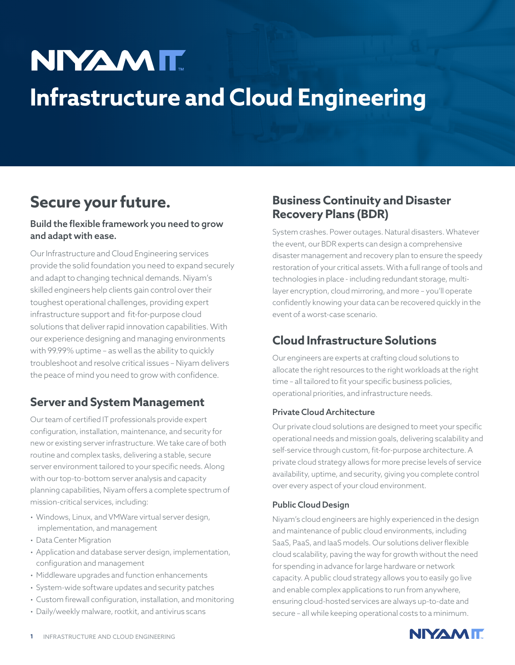# **NIYAMIT Infrastructure and Cloud Engineering**

# **Secure your future.**

#### Build the flexible framework you need to grow and adapt with ease.

Our Infrastructure and Cloud Engineering services provide the solid foundation you need to expand securely and adapt to changing technical demands. Niyam's skilled engineers help clients gain control over their toughest operational challenges, providing expert infrastructure support and fit-for-purpose cloud solutions that deliver rapid innovation capabilities. With our experience designing and managing environments with 99.99% uptime – as well as the ability to quickly troubleshoot and resolve critical issues – Niyam delivers the peace of mind you need to grow with confidence.

## **Server and System Management**

Our team of certified IT professionals provide expert configuration, installation, maintenance, and security for new or existing server infrastructure. We take care of both routine and complex tasks, delivering a stable, secure server environment tailored to your specific needs. Along with our top-to-bottom server analysis and capacity planning capabilities, Niyam offers a complete spectrum of mission-critical services, including:

- Windows, Linux, and VMWare virtual server design, implementation, and management
- Data Center Migration
- Application and database server design, implementation, configuration and management
- Middleware upgrades and function enhancements
- System-wide software updates and security patches
- Custom firewall configuration, installation, and monitoring
- Daily/weekly malware, rootkit, and antivirus scans

## **Business Continuity and Disaster Recovery Plans (BDR)**

System crashes. Power outages. Natural disasters. Whatever the event, our BDR experts can design a comprehensive disaster management and recovery plan to ensure the speedy restoration of your critical assets. With a full range of tools and technologies in place - including redundant storage, multilayer encryption, cloud mirroring, and more – you'll operate confidently knowing your data can be recovered quickly in the event of a worst-case scenario.

## **Cloud Infrastructure Solutions**

Our engineers are experts at crafting cloud solutions to allocate the right resources to the right workloads at the right time – all tailored to fit your specific business policies, operational priorities, and infrastructure needs.

#### Private Cloud Architecture

Our private cloud solutions are designed to meet your specific operational needs and mission goals, delivering scalability and self-service through custom, fit-for-purpose architecture. A private cloud strategy allows for more precise levels of service availability, uptime, and security, giving you complete control over every aspect of your cloud environment.

#### Public Cloud Design

Niyam's cloud engineers are highly experienced in the design and maintenance of public cloud environments, including SaaS, PaaS, and IaaS models. Our solutions deliver flexible cloud scalability, paving the way for growth without the need for spending in advance for large hardware or network capacity. A public cloud strategy allows you to easily go live and enable complex applications to run from anywhere, ensuring cloud-hosted services are always up-to-date and secure – all while keeping operational costs to a minimum.